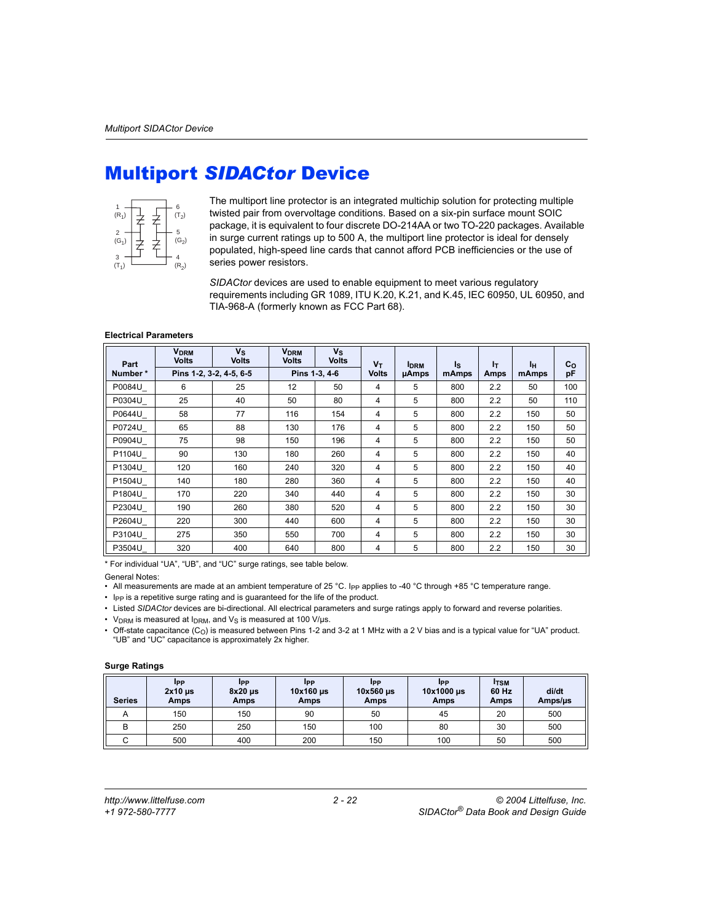## Multiport *SIDACtor* Device



The multiport line protector is an integrated multichip solution for protecting multiple twisted pair from overvoltage conditions. Based on a six-pin surface mount SOIC package, it is equivalent to four discrete DO-214AA or two TO-220 packages. Available in surge current ratings up to 500 A, the multiport line protector is ideal for densely populated, high-speed line cards that cannot afford PCB inefficiencies or the use of series power resistors.

*SIDACtor* devices are used to enable equipment to meet various regulatory requirements including GR 1089, ITU K.20, K.21, and K.45, IEC 60950, UL 60950, and TIA-968-A (formerly known as FCC Part 68).

## **Electrical Parameters**

| Part    | <b>V<sub>DRM</sub></b><br><b>Volts</b> | $V_{\rm S}$<br><b>Volts</b> | <b>V<sub>DRM</sub></b><br><b>Volts</b> | $V_{\rm S}$<br><b>Volts</b> | $V_T$        | <b>IDRM</b> | Is    | ŀт          | Iн    | $c_{o}$ |
|---------|----------------------------------------|-----------------------------|----------------------------------------|-----------------------------|--------------|-------------|-------|-------------|-------|---------|
| Number* |                                        | Pins 1-2, 3-2, 4-5, 6-5     |                                        | Pins 1-3, 4-6               | <b>Volts</b> | uAmps       | mAmps | <b>Amps</b> | mAmps | pF      |
| P0084U  | 6                                      | 25                          | 12                                     | 50                          | 4            | 5           | 800   | 2.2         | 50    | 100     |
| P0304U  | 25                                     | 40                          | 50                                     | 80                          | 4            | 5           | 800   | 2.2         | 50    | 110     |
| P0644U  | 58                                     | 77                          | 116                                    | 154                         | 4            | 5           | 800   | 2.2         | 150   | 50      |
| P0724U  | 65                                     | 88                          | 130                                    | 176                         | 4            | 5           | 800   | 2.2         | 150   | 50      |
| P0904U  | 75                                     | 98                          | 150                                    | 196                         | 4            | 5           | 800   | 2.2         | 150   | 50      |
| P1104U  | 90                                     | 130                         | 180                                    | 260                         | 4            | 5           | 800   | 2.2         | 150   | 40      |
| P1304U  | 120                                    | 160                         | 240                                    | 320                         | 4            | 5           | 800   | 2.2         | 150   | 40      |
| P1504U  | 140                                    | 180                         | 280                                    | 360                         | 4            | 5           | 800   | 2.2         | 150   | 40      |
| P1804U  | 170                                    | 220                         | 340                                    | 440                         | 4            | 5           | 800   | 2.2         | 150   | 30      |
| P2304U  | 190                                    | 260                         | 380                                    | 520                         | 4            | 5           | 800   | 2.2         | 150   | 30      |
| P2604U  | 220                                    | 300                         | 440                                    | 600                         | 4            | 5           | 800   | 2.2         | 150   | 30      |
| P3104U  | 275                                    | 350                         | 550                                    | 700                         | 4            | 5           | 800   | 2.2         | 150   | 30      |
| P3504U  | 320                                    | 400                         | 640                                    | 800                         | 4            | 5           | 800   | 2.2         | 150   | 30      |

\* For individual "UA", "UB", and "UC" surge ratings, see table below.

General Notes:

• All measurements are made at an ambient temperature of 25 °C. Ipp applies to -40 °C through +85 °C temperature range.

• Ipp is a repetitive surge rating and is guaranteed for the life of the product.

• Listed *SIDACtor* devices are bi-directional. All electrical parameters and surge ratings apply to forward and reverse polarities.

•  $V_{DRM}$  is measured at  $I_{DRM}$ , and  $V_S$  is measured at 100 V/ $\mu$ s.

Off-state capacitance (C<sub>O</sub>) is measured between Pins 1-2 and 3-2 at 1 MHz with a 2 V bias and is a typical value for "UA" product. "UB" and "UC" capacitance is approximately 2x higher.

## **Surge Ratings**

| <b>Series</b> | <b>IPP</b><br>$2x10$ $\mu$ s<br>Amps | <b>IPP</b><br>$8x20$ µs<br>Amps | <b>IPP</b><br>$10x160$ $\mu$ s<br><b>Amps</b> | <b>IPP</b><br>10x560 us<br>Amps | <b>I</b> pp<br>10x1000 µs<br><b>Amps</b> | <b>ITSM</b><br>60 Hz<br>Amps | di/dt<br>Amps/us |
|---------------|--------------------------------------|---------------------------------|-----------------------------------------------|---------------------------------|------------------------------------------|------------------------------|------------------|
| A             | 150                                  | 150                             | 90                                            | 50                              | 45                                       | 20                           | 500              |
| в             | 250                                  | 250                             | 150                                           | 100                             | 80                                       | 30                           | 500              |
|               | 500                                  | 400                             | 200                                           | 150                             | 100                                      | 50                           | 500              |